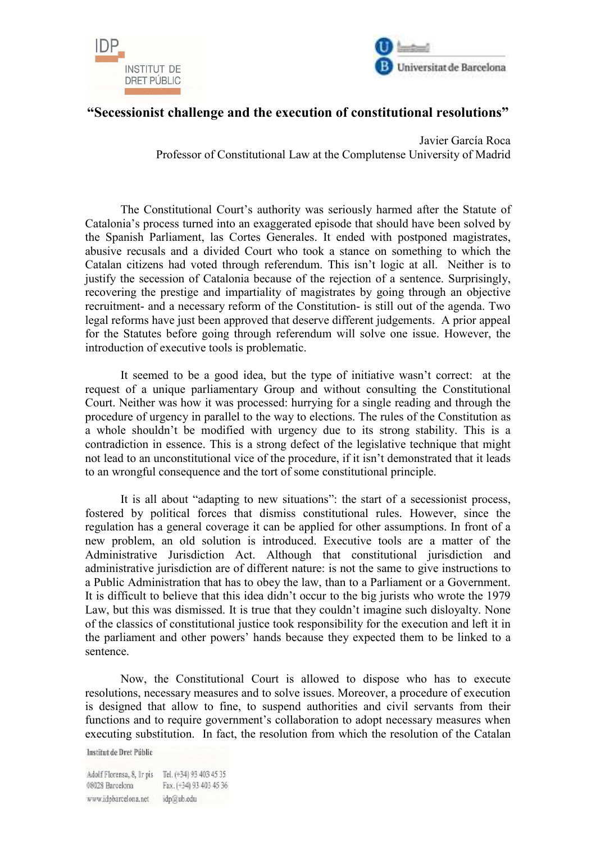



## **"Secessionist challenge and the execution of constitutional resolutions"**

Javier García Roca Professor of Constitutional Law at the Complutense University of Madrid

The Constitutional Court's authority was seriously harmed after the Statute of Catalonia's process turned into an exaggerated episode that should have been solved by the Spanish Parliament, las Cortes Generales. It ended with postponed magistrates, abusive recusals and a divided Court who took a stance on something to which the Catalan citizens had voted through referendum. This isn't logic at all. Neither is to justify the secession of Catalonia because of the rejection of a sentence. Surprisingly, recovering the prestige and impartiality of magistrates by going through an objective recruitment- and a necessary reform of the Constitution- is still out of the agenda. Two legal reforms have just been approved that deserve different judgements. A prior appeal for the Statutes before going through referendum will solve one issue. However, the introduction of executive tools is problematic.

 It seemed to be a good idea, but the type of initiative wasn't correct: at the request of a unique parliamentary Group and without consulting the Constitutional Court. Neither was how it was processed: hurrying for a single reading and through the procedure of urgency in parallel to the way to elections. The rules of the Constitution as a whole shouldn't be modified with urgency due to its strong stability. This is a contradiction in essence. This is a strong defect of the legislative technique that might not lead to an unconstitutional vice of the procedure, if it isn't demonstrated that it leads to an wrongful consequence and the tort of some constitutional principle.

 It is all about "adapting to new situations": the start of a secessionist process, fostered by political forces that dismiss constitutional rules. However, since the regulation has a general coverage it can be applied for other assumptions. In front of a new problem, an old solution is introduced. Executive tools are a matter of the Administrative Jurisdiction Act. Although that constitutional jurisdiction and administrative jurisdiction are of different nature: is not the same to give instructions to a Public Administration that has to obey the law, than to a Parliament or a Government. It is difficult to believe that this idea didn't occur to the big jurists who wrote the 1979 Law, but this was dismissed. It is true that they couldn't imagine such disloyalty. None of the classics of constitutional justice took responsibility for the execution and left it in the parliament and other powers' hands because they expected them to be linked to a sentence.

 Now, the Constitutional Court is allowed to dispose who has to execute resolutions, necessary measures and to solve issues. Moreover, a procedure of execution is designed that allow to fine, to suspend authorities and civil servants from their functions and to require government's collaboration to adopt necessary measures when executing substitution. In fact, the resolution from which the resolution of the Catalan

**Institut de Dret Públic** 

Adolf Florensa, 8, Ir pis Tel. (+34) 93 403 45 35 08028 Barcelona Fax. (+34) 93 403 45 36 www.idpbarcelona.net idp@ub.edu